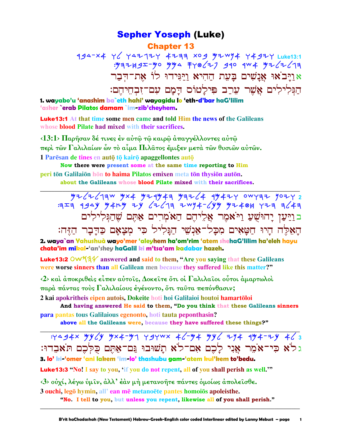# **Sepher Yoseph (Luke) Chapter 13**

494-x4 Y Y4212Y 4277 X09 92W94 Y492Y Luke13:1 אַוַיַּבֹאוּ אֲנַשִׁים בַּעֲת הַהִיא וַיַּגִּידוּ לוֹ אֶת־הָבָר הַגִּלְילִים אֲשֶׁר עֲרַב פִּילַטוֹס דַמַם עִם־זִבְחֵיהֵם:

1. wayabo'u 'anashim ba`eth hahi' wayagidu lo 'eth-d'bar haG'lilim 'asher **`erab Pilatos damam `im-zib'chevhem.** 

**Luke13:1** At that time some men came and told Him the news of the Galileans whose **blood Pilate had mixed with their sacrifices.** 

 $\langle 13:1 \rangle$  Παρήσαν δέ τινες έν αύτω τω καιρω άπαγγέλλοντες αύτω περί τῶν Γαλιλαίων ὧν τὸ αίμα Πιλάτος ἔμιξεν μετά τῶν θυσιῶν αὐτῶν. 1 Paresan de tines en auto to kairo apaggellontes auto

Now there were present some at the same time reporting to Him peri tōn Galilaiōn hōn to haima Pilatos emixen meta tōn thysiōn autōn. about the Galileans whose blood Pilate mixed with their sacrifices.

בוַיַּעַן יָהוּשָׁעַ וַיֹּאמֶר אֲלִיהֶם הַאֹמְרִים אַתֵּם שֵׁהַגִּלִילִים הַאָּלֶה הַיוּ חַטָּאִים מִכָּל־אַנְשֵׁי הַגַּלִיל כִּי מִצַאַם כַּדַּבָר הַזֵּה:

2. waya`an Yahushuà wayo'mer 'aleyhem ha'om'rim 'atem shehaG'lilim ha'eleh hayu chata'im mikal-'an'shey haGalil ki m'tsa'am kadabar hazeh.

Luke13:2 OW 134 answered and said to them, "Are you saying that these Galileans were worse sinners than all Galilean men because they suffered like this matter?"

 $\langle 2 \rangle$  και άποκριθείς είπεν αύτοις, Δοκειτε ότι οι Γαλιλαιοι ούτοι αμαρτωλοί παρά πάντας τούς Γαλιλαίους έγένοντο, ότι ταύτα πεπόνθασιν;

2 kai apokritheis eipen autois, Dokeite hoti hoi Galilaioi houtoi hamartōloi

And having answered He said to them, "Do you think that these Galileans sinners para pantas tous Galilaious egenonto, hoti tauta peponthasin?

above all the Galileans were, because they have suffered these things?"

: 434x yy / y y x + - y 1 y 3 y w x + 6 - y + yy / + y + + + y + 6 3 גלֹא כִּי־אֹמֶר אֲנִי לַכֶם אָם־לֹא תַשׁוּבוּ גַּם־אַתֶּם כִּלְכֶם תֹּאַבֶדוּ: 3. lo' ki-'omer 'ani lakem 'im-lo' thashubu gam-'atem kul'kem to'bedu.

**Luke13:3** "No! I say to you, 'if you do not repent, all of you shall perish as well."

<3> ούχί, λέγω ύμιν, άλλ' έαν μή μετανοήτε πάντες όμοίως απολεισθε.

3 ouchi, legō hymin, all' ean mē metanoēte pantes homoiōs apoleisthe.

"No. I tell to you, but unless you repent, likewise all of you shall perish."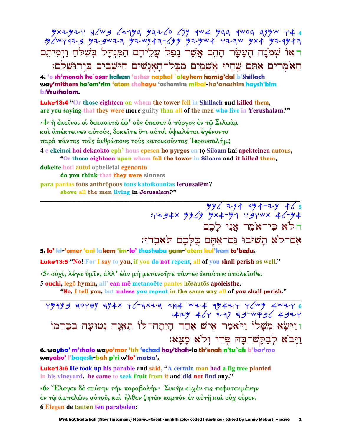ראוֹ שִׁמֹנָה הֵעָשָׂר הָהֶם אֲשֶׁר נָפַל עֲלֵיהֶם הַמְּגִדָּל בִּשִׁלּחַ וַיִמְיהֵם הַאֹמְרִים אָתֶם שֶׁהַיוּ אֲשֶׁמִים מִכַּל־הַאֲנַשִׁים הַיּשָׁבִים בִּיְרוּשַׁלַם:

4. 'o sh'monah he`asar hahem 'asher naphal `aleyhem hamig'dal b'Shillach way'mithem ha'om'rim 'atem shehayu 'ashemim mikal-ha'anashim haysh'bim biYrushalam.

**Luke13:4 "Or those eighteen on whom the tower fell in Shillach and killed them,** are you saying that they were more guilty than all of the men who live in Yerushalam?"

<4> ή έκεινοι οί δεκαοκτώ έφ' ούς έπεσεν ό πύργος έν τω Σιλωάμ

καὶ ἀπέκτεινεν αὐτούς, δοκεῖτε ὅτι αὐτοὶ ὀφειλέται ἐγένοντο

παρά πάντας τούς άνθρώπους τούς κατοικούντας Ιερουσαλήμ;

4 è ekeinoi hoi dekaoktō eph' hous epesen ho pyrgos en tō Silōam kai apekteinen autous, "Or those eighteen upon whom fell the tower in Siloam and it killed them,

dokeite hoti autoi opheiletai egenonto

do you think that they were sinners

para pantas tous anthrōpous tous katoikountas Ierousalēm?

above all the men living in Jerusalem?"

 $\frac{y y}{2}$   $\frac{y}{2}$   $\frac{y}{2}$   $\frac{y}{2}$   $\frac{y}{2}$   $\frac{y}{2}$   $\frac{y}{2}$   $\frac{y}{2}$   $\frac{y}{2}$   $\frac{y}{2}$   $\frac{y}{2}$   $\frac{y}{2}$   $\frac{y}{2}$   $\frac{y}{2}$   $\frac{y}{2}$   $\frac{y}{2}$   $\frac{y}{2}$   $\frac{y}{2}$   $\frac{y}{2}$   $\frac{y}{2}$   $\frac{y}{2}$   $\frac{y}{2}$  הלֹא כִּי־אֹמֶר אֵנִי לַכֶם אם־לֹא תַשׁוּבוּ גַּם־אַתֵּם כִּלְכֵם תֹּאבֵדוּ:

### 5. lo' ki-'omer 'ani lakem 'im-lo' thashubu gam-'atem kul'kem to'bedu.

**Luke13:5** "No! For I say to you, if you do not repent, all of you shall perish as well."

<5> ούχί, λέγω ύμιν, άλλ' έαν μή μετανοήτε πάντες ώσαύτως απολεισθε.

5 ouchi, legō hymin, all' ean mē metanoēte pantes hōsautōs apoleisthe.

"No, I tell you, but unless you repent in the same way all of you shall perish."

 $Y''$ 1) 3 3070) 314x 76-3x23 444 424 43427 76 4427 6 :  $474$   $46$   $733$  39-WP36 4924 וּוַיִּשָׂא מִשָּׁלוֹ וַיֹּאמַר אִישׁ אָחָד הַיִתַה־לּוֹ תְאָנַה נִטוּעַה בִכַרְמוֹ וַיַּבֹא לְבַקֵּשׁ־בַּה פִּרְי וְלֹא מַצָא:

6. wayisa' m'shalo wayo'mar 'ish 'echad hay'thah-lo th'enah n'tu`ah b'kar'mo wayabo' l'baqesh-bah p'ri w'lo' matsa'.

**Luke13:6** He took up his parable and said, "A certain man had a fig tree planted in his vineyard. he came to seek fruit from it and did not find any."

<6> "Ελεγεν δέ ταύτην την παραβολήν· Συκήν είχέν τις πεφυτευμένην έν τῷ ἀμπελῶνι αὐτοῦ, καὶ ἦλθεν ζητῶν καρπὸν ἐν αὐτῆ καὶ οὐχ εὗρεν. 6 Elegen de tautēn tēn parabolēn;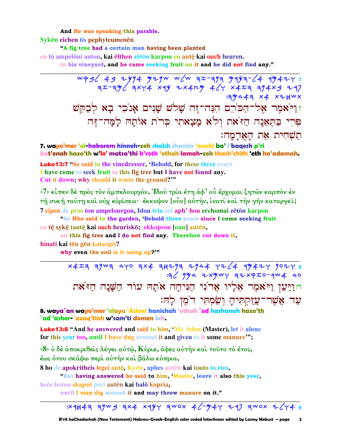#### And He was speaking this parable.

Syken eichen tis pephyteumenen

"A fig tree had a certain man having been planted

en tō ampelōni autou, kai ēlthen zētōn karpon en autē kai ouch heuren.

in his vineyard, and he came seeking fruit on it and he did not find any."

 $WP3C$   $49$  2yy  $4$  y 2yw w  $C$ w a  $x$  -aya y 1y a  $-$  4y 4 2y  $75-796$   $274$   $374$   $39$   $314$   $46$   $46$   $314$   $314$   $314$ **: 19441 x4 x + HWX** זוַיֹּאמֶר אֶל־הַכּוֹרֵם הִגֲה־זֶה שָׁלֹשׁ שָׁנִים אָנֹכִי בָא לְבַקֵּשׁ פּרִי בַּתְאָנַה הַזֹּאת וְלֹא מָצָאתִי כִּרוֹת אוֹתָהּ לַמָּה־זֶּה תשחית את האַרָמָה:

7. wayo'mer 'el-hakorem hinneh-zeh shalsh shanim 'anoki ba' l'baqesh p'ri bat'enah hazo'th w'lo' matsa'thi k'roth 'othah lamah-zeh thash'chith 'eth ha'adamah.

**Luke13:7** "he said to the vinedresser, 'Behold, for these three years I have come to seek fruit in this fig tree but I have not found any. Cut it down; why should it waste the ground?""

<7> εἶπεν δὲ πρὸς τὸν ἀμπελουργόν, Ἰδοὺ τρία ἔτη ἀφ' οὗ ἔρχομαι ζητῶν καρπὸν ἐν τη συκη ταύτη και ούχ ευρίσκω· «κκοψον [ούν] αυτήν, ινατί και την γην καταργει; 7 eipen de pros ton ampelourgon, Idou tria eté aph' hou erchomai zéton karpon

"So Hhe said to the garden, 'Behold three years since I come seeking fruit en tē svkē tautē kai ouch heuriskō; ekkopson [oun] autēn,

on this fig tree and I do not find any. Therefore cut down it,

hinati kai tēn gēn katargei?

why even the soil is it using up?""

 $x4x7$  aywa ayo ax ayaya aya ya 4 ya 4 44 44 45 9024 8  $\approx$   $\frac{1}{2}$   $\frac{1}{2}$   $\frac{1}{2}$   $\frac{1}{2}$   $\frac{1}{2}$   $\frac{1}{2}$   $\frac{1}{2}$   $\frac{1}{2}$   $\frac{1}{2}$   $\frac{1}{2}$   $\frac{1}{2}$   $\frac{1}{2}$   $\frac{1}{2}$   $\frac{1}{2}$   $\frac{1}{2}$   $\frac{1}{2}$   $\frac{1}{2}$   $\frac{1}{2}$   $\frac{1}{2}$   $\frac{1}{2}$   $\frac{1}{2}$   $\frac{1}{$ חוַיַּעַן וַיֹּאמֶר אֵלְיו אֲד<sup>וֹ</sup>נִי הַנִּיחָה אֹתָה עוֹד הַשַּׁנַה הַז<sup>ּ</sup>את עַד אֲשֶׁר־עֲזַקְתִּיהַ וְשַׂמְתִּי דֹמֵן לַהּ:

8. waya`an wayo'mer 'elayu 'Adoni hanichah 'othah `od hashanah hazo'th `ad 'asher-`azaq'tiah w'sam'ti domen lah.

**Luke13:8** "And he answered and said to him, 'My Adon (Master), let it alone for this year too, until I have dug around it and given to it some manure";

<8> ο δέ άποκριθείς λέγει αύτω, Κύριε, άφες αύτην και τούτο το έτος, έως ὄτου σκάψω περί αύτήν καί βάλω κόπρια,

8 ho de apokritheis legei autō, Kyrie, aphes autēn kai touto to etos,

"But having answered he said to him, 'Master, leave it also this year, heōs hotou skapsō peri autēn kai balō kopria,

until I may dig around it and may throw manure on it."

 $3x4447$  3ywg 3x4 x4yy 3wox 46-y4y 247 3wox 2644 9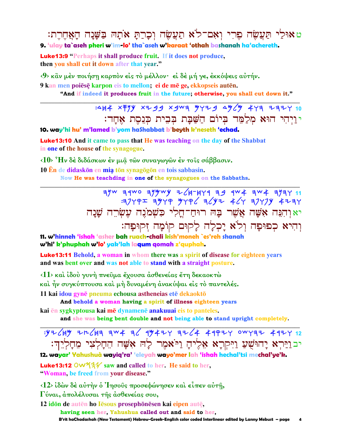ט אוּכַׂי תַּעֲשָׂה פֶרִי וְאָם־לֹא תַעֲשָׂה וְכַרַתַּ אֹתַהּ בַּשֵּׁנַה הַאֲחֶרֶת: 9. 'ulay ta`aseh pheri w'im-lo' tha`aseh w'karaat 'othah bashanah ha'achereth.

**Luke13:9** "Perhaps it shall produce fruit. If it does not produce, then you shall cut it down after that year."

<9> κἂν μέν ποιήση καρπὸν είς τὸ μέλλον· εί δέ μή γε, εκκόψεις αὐτήν.

9 kan men poiēsē karpon eis to mellon; ei de mē ge, ekkopseis autēn. "And if indeed it produces fruit in the future; otherwise, you shall cut down it."

> :444 X FYY X 7 9 9 X 9 W 9 W Y 7 9 4 W 4 Y 9 7 7 7 7 10 י וַיְהִי הוּא מְלַמֵּד בְּיוֹם הַשַּׁבַּת בִּבְית כִּנְסֶת אָחֲד:

10. way'hi hu' m'lamed b'yom ha\$habbat b'beyth k'neseth 'echad.

**Luke13:10** And it came to pass that He was teaching on the day of the Shabbat in one of the house of the synagogue.

 $(10)$   $H_v$  δέ διδάσκων έν μια των συναγωγών έν τοις σάββασιν.

10 En de didaskōn en mia tōn synagōgōn en tois sabbasin. Now He was teachding in one of the synagogues on the Sabbaths.

> $71$  34wo 344wy z/4-444 39 4w4 344 3447 11  $37792$  3479 4796 3642 467 37774 4237 יאוְהִנֵּה אָשֶׁה אֲשֶׁר בָּה רוּחַ־חָלִי כִּשְׁמֹנֵה עֵשְׂרֵה שֲׁנַה וְהִיא כִפוּפָה וְלֹא יָכְלָה לַקוּם קוֹמַה זִקוּפָה:

11. w'hinneh 'ishah 'asher bah ruach-chali kish'moneh `es'reh shanah w'hi' k'phuphah w'lo' yak'lah laqum qomah z'quphah.

**Luke13:11** Behold, a woman in whom there was a spirit of disease for eighteen years and was bent over and was not able to stand with a straight posture.

 $(1)$  και ίδου γυνή πνεύμα έχουσα ασθενείας έτη δεκαοκτώ

καὶ ἦν συγκύπτουσα καὶ μὴ δυναμένη ἀνακύψαι εἰς τὸ παντελές.

11 kai idou gynē pneuma echousa astheneias etē dekaoktō

And behold a woman having a spirit of illness eighteen years

kai en sygkyptousa kai me dynamene anakuuai eis to panteles.

and she was being bent double and not being able to stand upright completely.

## $.972$  (Hy ZH2H3 3W4 36 1942Y 3Z64 419ZY OWY3Z 41ZY 12 יבוַיַּרִא יָהוּשָׁעַ וַיִּקְרָא אֶלֵיהָ וַיֹּאמִר לַה אָשָׁה הֵחָלְצִי מֵחָלְיֵהָ:

12. wayar' Yahushuà wayiq'ra' 'eleyah wayo'mer lah 'ishah hechal'tsi mechal'ye'k.

**Luke13:12 OW534** saw and called to her. He said to her. "Woman, be freed from your disease."

 $\langle 12 \rangle$  ίδών δέ αύτήν ο 'Iησούς προσεφώνησεν και είπεν αύτή,

Γύναι, απολέλυσαι της ασθενείας σου,

12 idōn de autēn ho Iēsous prosephōnēsen kai eipen autē, having seen her. Yahushua called out and said to her. B'rit haChadashah (New Testament) Hebrew-Greek-English color coded Interlinear edited by Lanny Mebust – page  $\overline{\mathbf{A}}$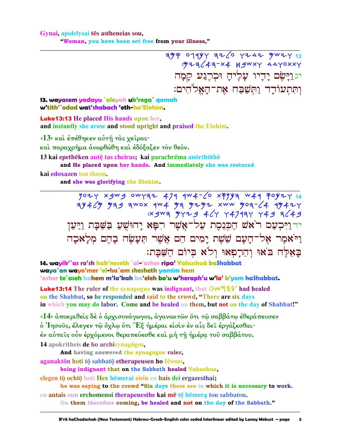Gynai, apolelysai tēs astheneias sou, "Woman, you have been set free from your illness,"

 $749$  01944 726 7242 4427 13  $\frac{1}{2}$   $\frac{1}{2}$   $\frac{1}{2}$   $\frac{1}{2}$   $\frac{1}{2}$   $\frac{1}{2}$   $\frac{1}{2}$   $\frac{1}{2}$   $\frac{1}{2}$   $\frac{1}{2}$   $\frac{1}{2}$   $\frac{1}{2}$   $\frac{1}{2}$   $\frac{1}{2}$   $\frac{1}{2}$   $\frac{1}{2}$   $\frac{1}{2}$   $\frac{1}{2}$   $\frac{1}{2}$   $\frac{1}{2}$   $\frac{1}{2}$   $\frac{1}{2}$  יגוַיַּשֶׂם יַדִיו עַלֵיהַ וּכְרֶגֵע קַמֲה וִתְּתִעוֹדָד וַתְּשַׁבַח אֶת־הָאֲלֹהִים:

13. wayasem yadayu `aleyah uk'rega` qamah w'tith'`odad wat'shabach 'eth-ha'Elohim.

**Luke13:13** He placed His hands upon her. and instantly she arose and stood upright and praised the Elohim.

<13> και έπέθηκεν αύτη τας χείρας· και παραχρήμα ανωρθώθη και εδόξαζεν τον θεόν.

13 kai epethēken autē tas cheiras; kai parachrēma anorthōthē and He placed upon her hands. And immediately she was restored

kai edoxazen ton theon.

and she was glorifying the Elohim.

 $7074$  xgwg owyaz 474 4w4-60 x774 w44 70424 14 : x gwa "y y + d' y + 1 y + 7 a y + 9 a 6 + 9 יד וַיִּכְעַם רֹאֹשׁ הַכִּנְסֶת עַל־אֲשֶׁר רִפָּא יַהוּשָׁעַ בַּשַּׁבָּת וַיַּעַן וַיֹּאמֶר אָל־הַעַם שֵׁשָׁת וַמִים הֵם אֲשֶׁר תִּעַשֵּׂה בָהֵם מְלַאכַה באלה באו והרפאו ולא ביום השבת:

14. wayik'`as ro'sh hak'neseth `al-'asher ripa' Yahushuà baShabbat waya`an wayo'mer 'el-ha`am shesheth yamim hem 'asher te`aseh bahem m'la'kah ba'eleh bo'u w'heraph'u w'lo' b'yom ha\$habbat.

**Luke13:14** The ruler of the synagogue was indignant, that  $\overrightarrow{OW44}$  had healed on the Shabbat, so he responded and said to the crowd, "There are six days" in which you may do labor. Come and be healed on them, but not on the day of Shabbat!"

<14> άποκριθείς δε ο άρχισυνάγωγος, άγανακτών ότι τω σαββάτω εθεράπευσεν ο 'Iησούς, έλεγεν τω όχλω ότι "Εξ ήμέραι είσιν εν αίς δει εργάζεσθαι· έν αὐταῖς οὖν έρχόμενοι θεραπεύεσθε καὶ μὴ τῆ ἡμέρα τοῦ σαββάτου.

14 apokritheis de ho archisynagogos,

And having answered the synagogue ruler,

aganaktōn hoti tō sabbatō etherapeusen ho Iēsous,

being indignant that on the Sabbath healed Yahushua,

elegen tō ochlō hoti Hex hēmerai eisin en hais dei ergazesthai:

he was saying to the crowd "Six days there are in which it is necessary to work.

en autais oun erchomenoi therapeuesthe kai mē tē hēmera tou sabbatou.

On them therefore coming, be healed and not on the day of the Sabbath."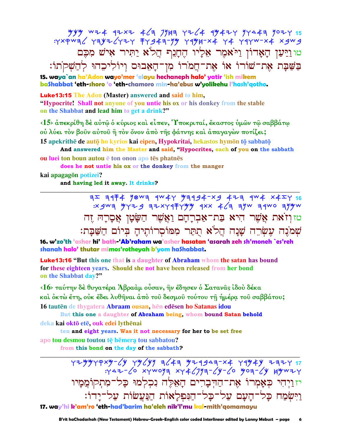טוּוַיַּעַן הָאָדוֹן וַיֹּאמֶר אֵלְיוֹ הֶחֲנֵתְ הֲלֹא יַתִּיר אִישׁ מִכֶּם בַשַּׁבָּת אָת־שׁוֹרוֹ אוֹ אָת־חֲמֹרוֹ מִן־הָאָבוּס וְיוֹלִיכִהוּ לְהַשָׁקֹתוֹ:

15. waya`an ha'Adon wayo'mer 'elayu hechaneph halo' yatir 'ish mikem bashabbat 'eth-shoro 'o 'eth-chamoro min-ha'ebus w'yolikehu l'hash'qotho.

**Luke13:15** The Adon (Master) answered and said to him, "Hypocrite! Shall not anyone of you untie his ox or his donkey from the stable on the Shabbat and lead him to get a drink?"

<15> άπεκρίθη δέ αύτώ ο κύριος και είπεν, Υποκριταί, έκαστος υμών τώ σαββάτω ού λύει τον βούν αύτου ή τον όνον άπο της φάτνης και άπαγαγών ποτίζει;

15 apekrithe de auto ho kyrios kai eipen, Hypokritai, hekastos hymon to sabbato

And answered him the Master and said, "Hypocrites, each of you on the sabbath ou luei ton boun autou è ton onon apo tès phatnès

does he not untie his ox or the donkey from the manger kai apagagōn potizei?

and having led it away. It drinks?

טזוִיזֹאת אַשֶׁר הִיא בַּת־אַבְרָהָם וַאֲשֶׁר הַשָּׂטָן אֲסָרָהּ זֶה שִׁמֹנֶה עִשְׂרֶה שֲׁנָה הֲלֹא תִתַּר מְמוֹסְרוֹתֵיהַ בְּיוֹם הַשַּׁבָּת:

16. w'zo'th 'asher hi' bath 'Ab'raham wa'asher hasatan 'asarah zeh sh'moneh `es'reh shanah halo' thutar mimos'rothevah b'vom hashabbat.

**Luke13:16 "But this one that is a daughter of Abraham whom the satan has bound** for these eighteen years. Should she not have been released from her bond on the Shabbat day?"

<16> ταύτην δὲ θυγατέρα Ἀβραὰμ οὖσαν, ἣν ἔδησεν ὁ Σατανᾶς ἰδοὺ δέκα καὶ ὀκτὼ ἔτη, οὐκ ἔδει λυθῆναι ἀπὸ τοῦ δεσμοῦ τούτου τῆ ἡμέρα τοῦ σαββάτου; 16 tautēn de thygatera Abraam ousan, hēn edēsen ho Satanas idou

But this one a daughter of Abraham being, whom bound Satan behold deka kai oktō etē, ouk edei lythēnai

ten and eight years. Was it not necessary for her to be set free apo tou desmou toutou te hemera tou sabbatou?

from this bond on the day of the sabbath?

YZYYYPXY-6Y YY6YY E643 YZASAR-X4 YAY4Y ZZZY 17<br>YAZ-60 XYWOYA XY467YA-6Y-6 YOA-4Y HYWZY יז וַיְהִי כִּאָמְרוֹ אֶת־הַדִּבָרִים הָאֵלֵה נִכְלְמוּ כָל־מִתְקוֹמֵמַיו וַיִּשְׂמַח כָּל־הָעָם עַל־כָּל־הַנִּפְלָאוֹת הַנַּעֲשׂוֹת עַל־יָדוֹ: 17. way'hi k'am'ro 'eth-had'barim ha'eleh nik'l'mu kal-mith'gomamayu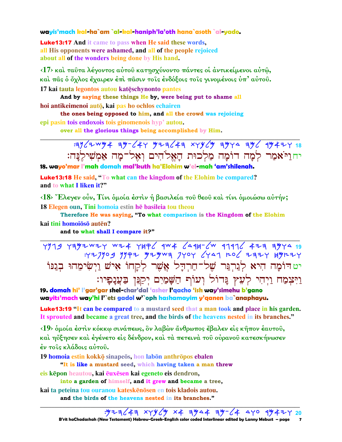### wayis'mach kal-ha`am `al-kal-haniph'la'oth hana`asoth `al-yado.

**Luke 13:17** And it came to pass when He said these words, all His opponents were ashamed, and all of the people rejoiced about all of the wonders being done by His hand.

<17> και ταύτα λέγοντος αύτου κατησχύνοντο πάντες οι άντικείμενοι αύτώ, και πας ο όχλος έχαιρεν έπι πασιν τοις ένδόξοις τοις γινομένοις ύπ' αύτου. 17 kai tauta legontos autou katęschynonto pantes

And by saying these things He by, were being put to shame all hoi antikeimenoi autō, kai pas ho ochlos echairen

the ones being opposed to him, and all the crowd was rejoicing epi pasin tois endoxois tois ginomenois hyp' autou.

over all the glorious things being accomplished by Him.

 $3962$   $8922$   $4926$   $47$   $9236$   $43$   $8796$   $997$   $996$   $994$   $713$ יחוי אמר למה דומה מלכות האלהים ואל־מה אמשילנה:

18. wayo'mar I'mah domah mal'kuth ha'Elohim w'el-mah 'am'shilenah.

**Luke13:18** He said, "To what can the kingdom of the Elohim be compared? and to what I liken it?"

<18> "Ελεγεν οὖν, Τίνι δμοία έστιν ή βασιλεία του θεου και τίνι δμοιώσω αύτήν; 18 Elegen oun, Tini homoia estin he basileia tou theou

Therefore He was saying, "To what comparison is the Kingdom of the Elohim kai tini homoioso auten?

and to what shall I compare it?"

4979 7792 424 7896 444 6498-64 7996 423 7944 : 427909 9992 929wa 7404 6441 206 2324 49224 יט הוֹמָה הִיא לְנַרְנֵּר שֶׁל־חַרְדָל אֲשֶׁר לְקַחוֹ אִישׁ וַיְשִׂימֵהוּ בְנַנּוֹ וַיִּצִמַח וַיִחִי לְעֵץ גָּדוֹל וְעוֹף הַשָּׁמַיִם יְקַגִּן בַּעֲנָפָיו:

19. domah hi<sup>3</sup> i'aar'aar shel-char'dal 'asher Paacho 'ish way'simehu b'aano wayits'mach way'hi l'`ets gadol w'`oph hashamayim y'qanen ba`anaphayu.

**Luke13:19 "It can be compared to a mustard seed that a man took and place in his garden.** It sprouted and became a great tree, and the birds of the heavens nested in its branches."

<19> δμοία έστιν κόκκω σινάπεως, δν λαβών άνθρωπος έβαλεν είς κήπον έαυτου, καὶ ηὔξησεν καὶ ἐγένετο εἰς δένδρον, καὶ τὰ πετεινὰ τοῦ οὐρανοῦ κατεσκήνωσεν έν τοις κλάδοις αύτου.

19 homoia estin kokkō sinapeōs, hon labōn anthrōpos ebalen

"It is like a mustard seed, which having taken a man threw eis kēpon heautou, kai ēuxēsen kai egeneto eis dendron,

into a garden of himself, and it grew and became a tree, kai ta peteina tou ouranou kateskēnōsen en tois kladois autou. and the birds of the heavens nested in its branches."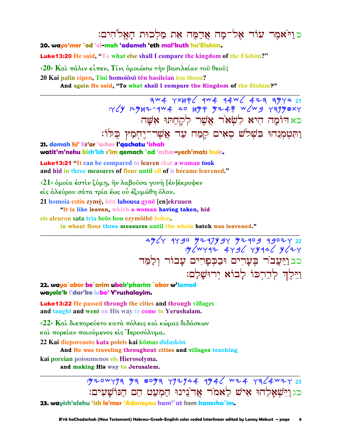כוַיֹּאמֶר עוֹד אָל־מַה אַרָמֶה אֶת מַלְכוּת הַאֲלֹהִים:

20. wayo'mer `od 'el-mah 'adameh 'eth mal'kuth ha'Elohim.

**Luke13:20** He said, "To what else shall I compare the kingdom of the Elohim?"

<20> Και πάλιν είπεν, Τίνι ομοιώσω την βασιλείαν του θεου;

20 Kai palin eipen. Tini homoiōsō tēn basileian tou theou?

And again He said, "To what shall I compare the Kingdom of the Elohim?"

כאדומה היא לִשְׂאֹר אֱשֶׁר לִקַחַתּוּ אָשָׁה וַתְּטְמְנֵהוּ בִּשְׁלֹשׁ סָאָים קֵמַח עַד אֲשֶׁר־יָחְמַץ כָּלוֹ:

21. domah hi' lis'or 'asher l'gachatu 'ishah

watit'm'nehu bish'lsh s'im gemach `ad 'asher-yech'mats kulo.

**Luke 13:21 "It can be compared to leaven that a woman took** and hid in three measures of flour until all of it became leavened."

<21> δμοία έστιν ζύμη, ήν λαβούσα γυνή [έν] έκρυψεν

είς άλεύρου σάτα τρία έως ού έζυμώθη όλον.

21 homoia estin zymę, hen labousa gynę [en]ekruuen

"It is like leaven, which a woman having taken, hid

eis aleurou sata tria heōs hou ezymōthē holon.

in wheat flour three measures until the whole batch was leavened."

4964 9790 929794 92909 99024 22 : W/WY47 449/ 4444/ V/74 כבוַיַּעֲבֹר בֶּעֲרִים וּבַכִּפַרִים עַבוֹר וִלַמֵּד וַיֵּלְדְ לְדַרְכּוֹ לְבוֹא יְרוּשֲלָם:

22. waya`abor be`arim ubak'pharim `abor w'lamed wayele'k l'dar'ko labo' Y'rushalayim.

**Luke13:22** He passed through the cities and through villages and taught and went on His way to come to Yerushalam.

<22> Καί διεπορεύετο κατά πόλεις καί κώμας διδάσκων

καί πορείαν ποιούμενος είς Ίεροσόλυμα.

22 Kai dieporeueto kata poleis kai kōmas didaskōn

And He was traveling throughout cities and villages teaching

kai poreian poioumenos eis Hierosolyma.

and making His way to Jerusalem.

: 520WYYA 54 805A YYZYA4 4546 WZ4 YA64WZY 23 כג וַיִּשְׁאֲלֵהוּ אִישׁ לֵאמֹר אֱדֹנֵינוּ הַמְעַט הֶם הַנּוֹשַׁעִים: 23. wayish'alehu 'ish le'mor 'Adoneynu ham'`at hem hanosha`im.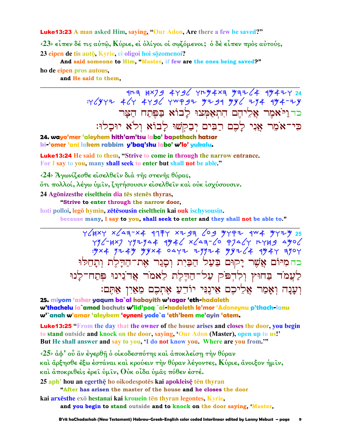**Luke13:23** A man asked Him, saving, "Our Adon, Are there a few be saved?"

 $\langle 23 \rangle$  είπεν δέ τις αύτω, Κύριε, εί ολίγοι οι σωζόμενοι; ο δε είπεν προς αύτους, 23 eipen de tis autō, Kyrie, ei oligoi hoi sōzomenoi?

And said someone to Him, "Master, if few are the ones being saved?"

ho de eipen pros autous. and He said to them,

> כד ויאמר אליהם התאמצו לבוא בפתח הצר כִּי־אֹמֶר אֲנִי לַכֶם רַבִּים יִבַקְשׁוּ לַבוֹא וְלֹא יוּכָלוּ:

24. wayo'mer 'aleyhem hith'am'tsu labo' bapethach hatsar ki 'omer 'ani lakem rabbim y'baq'shu labo' w'lo' yukalu.

**Luke13:24** He said to them, "Strive to come in through the narrow entrance. For I say to you, many shall seek to enter but shall not be able."

<24> Άγωνίζεσθε είσελθεΐν διά της στενης θύρας,

őτι πολλοί, λέγω ὑμῖν, ζητήσουσιν εἰσελθεῖν καὶ οὐκ ἰσχύσουσιν.

24 Agōnizesthe eiselthein dia tēs stenēs thyras,

"Strive to enter through the narrow door,

hoti polloi, legō hymin, zētēsousin eiselthein kai ouk ischysousin.

because many, I say to you, shall seek to enter and they shall not be able to."

YCHXY XCA3-X4 977Y XZ93 CO9 979Z 9W4 97ZY 25<br>YYC-HXJ YYZYA4 994C XCA3-CO PJACY RYH9 A9OC  $:$  "yx  $4$  y 2  $4$  y y y x  $4$  o a y z z y y z  $+$  y y z  $2$   $4$   $4$   $9$   $4$   $7$   $1$   $9$   $9$   $1$ כהמיּוֹם אֲשֵׁר יָקוּם בַּעֲל הַבַּיִת וִסָּגַר אָת־הַדָּלֵת וִתָּחֵלוּ לַעֲמֹד בַחוּץ וְלִדְפֹּק עַל־הַדֵּלֵת לֵאמֹר אֲדֹנִינוּ פִּתַח־לַנוּ וִעֲנַה וְאָמַר אֲלִיכֵם אֵינֶנִּי יוֹדֵעַ אֶתְכֶם מֵאַיִן אַתֶּם:

25. miyom 'asher yaqum ba`al habayith w'sagar 'eth-hadaleth w'thachelu la`amod bachuts w'lid'pog `al-hadeleth le'mor 'Adoneynu p'thach-lanu w'`anah w'amar 'aleykem 'eyneni yode`a 'eth'kem me'ayin 'atem.

**Luke13:25** "From the day that the owner of the house arises and closes the door, you begin to stand outside and knock on the door, saying, 'Our Adon (Master), open up to us!' But He shall answer and say to you, 'I do not know you. Where are you from."

 $\langle 25 \rangle$  άφ' ού ἂν έγερθή ο οίκοδεσπότης και άποκλείση την θύραν και άρξησθε έξω έστάναι και κρούειν την θύραν λέγοντες, Κύριε, άνοιξον ήμιν, καὶ ἀποκριθεὶς ἐρεῖ ὑμῖν, Οὐκ οἶδα ὑμᾶς πόθεν ἐστέ.

25 aph<sup>,</sup> hou an egerthe ho oikodespotes kai apokleise ten thyran

"After has arisen the master of the house and he closes the door

kai arxēsthe exō hestanai kai krouein tēn thyran legontes, Kyrie, and you begin to stand outside and to knock on the door saying. Master,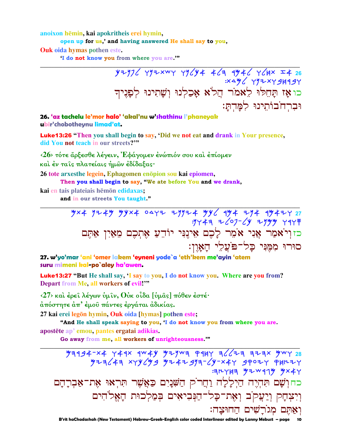anoixon hēmin, kai apokritheis erei hymin, open up for us,' and having answered He shall say to you,

**Ouk oida hymas pothen este.** 

'I do not know you from where you are."

 $77772$  792 7943 7484 424 424 748 7494 7494 7494 7494 כו אַז תַּחֲלוּ לֵאמֹר הֲלֹא אָכַלְנוּ וְשָׁתִינוּ לְפָנֵיךְ וּבְרְחֹבוֹתֵינוּ לְמַּדְתַּ׃

26. 'az tachelu le'mor halo' 'akal'nu w'shathinu l'phaneyak ubir'chobothevnu limad'at.

**Luke13:26** "Then you shall begin to say, 'Did we not eat and drank in Your presence, did You not teach in our streets?"

<26> τότε άρξεσθε λέγειν, Εφάγομεν ένώπιόν σου και έπίομεν

καί έν ταις πλατείαις ήμων έδίδαξας·

26 tote arxesthe legein, Ephagomen enōpion sou kai epiomen,

Then you shall begin to say, "We ate before You and we drank,

kai en tais plateiais hēmon edidaxas;

and in our streets You taught."

כזוְיֹאמַר אֲנִי אֹמֵר לָכֶם אֵינֶנִּי יוֹדֵעַ אֵתְכֵם מֵאַיִן אַתֵּם סוּרוּ ממני כל־פֹּעלי האון:

27. w'yo'mar 'ani 'omer lakem 'eyneni yode`a 'eth'kem me'ayin 'atem suru mimeni kal-po`alev ha'awen.

Luke13:27 "But He shall say, 'I say to you, I do not know you. Where are you from? Depart from Me, all workers of evil!"

 $\langle 27 \rangle$  και έρει λέγων υμιν, θύκ οίδα [υμας] πόθεν έστέ·

άπόστητε άπ' έμου πάντες έργάται άδικίας.

27 kai erei legōn hymin, Ouk oida [hymas] pothen este;

"And He shall speak saying to you, I do not know you from where you are.

apostēte ap' emou, pantes ergatai adikias.

Go away from me, all workers of unrighteousness.""

ヨトイトヨ ウ マ ツ リ ツ メ イ כחוְשָׁם תִּהְרֶה הַיְלָלָה וַחֲרֹק הַשָּׁנָיִם כַּאֲשֶׁר תִּרִאוּ אֶת־אַבְרַהַם וִיִצְחָק וְיַעֲקֹב וְאֶת־כָּל־הַנִּבִיאִים בִּמַלְכוּת הָאֵלֹהִים ואתם מגרשים החוצה:

B'rit haChadashah (New Testament) Hebrew-Greek-English color coded Interlinear edited by Lanny Mebust - page 10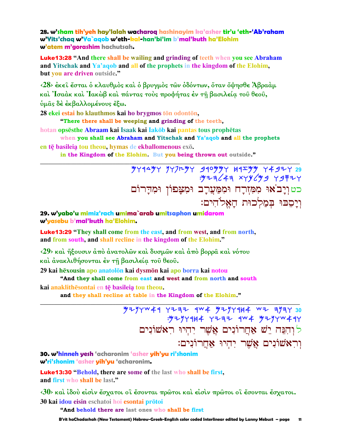28. w'sham tih'yeh hay'lalah wacharoq hashinayim ka'asher tir'u 'eth-'Ab'raham w'Yits'chaq w'Ya`aqob w'eth-kal-han'bi'im b'mal'kuth ha'Elohim w'atem m'aorashim hachutsah.

**Luke13:28 "And there shall be wailing and grinding of teeth when you see Abraham** and Yitschak and Ya'aqob and all of the prophets in the kingdom of the Elohim, but vou are driven outside."

<28> έκει έσται ο κλαυθμος και ο βρυγμος των οδόντων, όταν όψησθε Άβρααμ καὶ Ἰσαὰκ καὶ Ἰακὼβ καὶ πάντας τοὺς προφήτας ἐν τῆ βασιλεία τοῦ θεοῦ, υμας δε εκβαλλομένους έξω.

28 ekei estai ho klauthmos kai ho brygmos tōn odontōn,

"There there shall be weeping and grinding of the teeth,

hotan opsēsthe Abraam kai Isaak kai Iakōb kai pantas tous prophētas when you shall see Abraham and Yitschak and Ya'aqob and all the prophets

en tē basileia tou theou, hymas de ekballomenous exō.

in the Kingdom of the Elohim. But you being thrown out outside."

 $\frac{949997}{7200}$  74949 74999 74994 74994 כטוְיָבֹאוּ מִמְזְרָח וּמִמַּעֲרָב וּמִצָּפוֹן וּמִדַּרוֹם ויסבוּ בִמַלְכוּת הַאֱלֹהִים:

29. w'yabo'u mimiz'rach umima`arab umitsaphon umidarom w'yasebu b'mal'kuth ha'Elohim.

**Luke13:29** "They shall come from the east, and from west, and from north, and from south, and shall recline in the kingdom of the Elohim."

<29> και ήξουσιν άπό άνατολών και δυσμών και άπό βορρα και νότου και άνακλιθήσονται έν τη βασιλεία του θεου.

29 kai hēxousin apo anatolon kai dysmon kai apo borra kai notou

"And they shall come from east and west and from north and south

kai anaklithesontai en tę basileią tou theou.

and they shall recline at table in the Kingdom of the Elohim."

 $7277944$   $7777$   $404$   $72774$  $144$   $107$   $11730$ : 5297914 7232 9w4 52974 497 לוְהִנֵּה יֵשׁ אַחֲרוֹנִים אֲשֶׁר יִהְיוּ רִאָשׁוֹנִים וראשונים אשר יהיו אחרונים:

30. w'hinneh yesh 'acharonim 'asher yih'yu ri'shonim w'ri'shonim 'asher yih'yu 'acharonim.

**Luke13:30 "Behold, there are some of the last who shall be first,** and first who shall be last."

<30> και ίδου είσιν έσχατοι οϊ έσονται πρώτοι και είσιν πρώτοι οϊ έσονται έσχατοι. 30 kai idou eisin eschatoi hoi esontai prōtoi

"And behold there are last ones who shall be first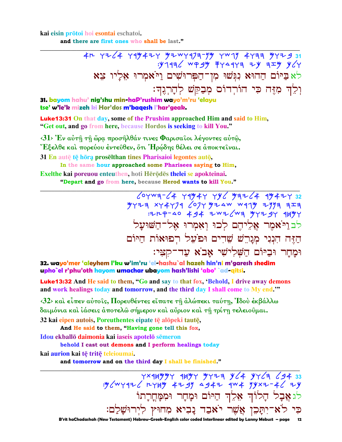kai eisin prōtoi hoi esontai eschatoi.

and there are first ones who shall be last."

לא ביום החוא נגשו מן־הפרושים ויאמרו אליו צא וִלְדָ מְזֵּה כִּי הוֹרְדוֹם מְבַקֵּשׁ לְהָרְגֶךְ:

31. bayom hahu' nig'shu min-haP'rushim wayo'm'ru 'elayu tse' w'le'k mizeh ki Hor'dos m'baqesh l'har'geak.

**Luke13:31** On that day, some of the Prushim approached Him and said to Him, "Get out, and go from here, because Hordos is seeking to kill You."

 $\langle 31 \rangle$  Έν αύτ $\hat{\eta}$  τ $\hat{\eta}$  ώρα προσήλθάν τινες Φαρισαΐοι λέγοντες αύτ $\hat{\omega}$ , "Εξελθε καὶ πορεύου ἐντεῦθεν, ὅτι Ἡρώδης θέλει σε ἀποκτεῖναι. 31 En aute te hora proselthan tines Pharisaioi legontes auto, In the same hour approached some Pharisees saying to Him,

Exelthe kai poreuou enteuthen, hoti Hērōdēs thelei se apokteinai. "Depart and go from here, because Herod wants to kill You."

> $694W = 24$   $1994Y$   $190$   $1932/4$   $19942$   $19942$   $19972$   $19723$  $\frac{1}{2}$  = 11/12/12/14 = 12/22/14 = 12/24 = 12/24 = 12/24 = 12/24 = 12/24 = 12/24 = 12/24 = 12/24 = 12/24 = 12/24 = 12/24 = 12/24 = 12/24 = 12/24 = 12/24 = 12/24 = 12/24 = 12/24 = 12/24 = 12/24 = 12/24 = 12/24 = 12/24 = לבויאמר אליהם לכו ואמרו אל־השועל הזה הנני מגרש שרים ופעל רפואות היום וּמַחַר וּבַיּוֹם הַשָּׁלְישִׁי אָבֹא עַד־קִצִּי:

32. wayo'mer 'aleyhem l'ku w'im'ru 'el-hashu`al hazeh hin'ni m'garesh shedim upho`el r'phu'oth hayom umachar ubayom hash'lishi 'abo' `ad-qitsi.

**Luke13:32** And He said to them, "Go and say to that fox, 'Behold, I drive away demons and work healings today and tomorrow, and the third day I shall come to My end."

<32> και είπεν αύτοις, Πορευθέντες είπατε τη άλώπεκι ταύτη, Ίδου έκβάλλω δαιμόνια και ιάσεις αποτελώ σήμερον και αύριον και τη τρίτη τελειουμαι.

32 kai eipen autois, Poreuthentes eipate tē alopeki tautē,

And He said to them, "Having gone tell this fox,

Idou ekballō daimonia kai iaseis apotelō sēmeron

behold I cast out demons and I perform healings today

kai aurion kai tē tritē teleioumai.

and tomorrow and on the third day I shall be finished."

 $\frac{1}{3}$   $\frac{1}{3}$   $\frac{1}{3}$   $\frac{1}{3}$   $\frac{1}{3}$   $\frac{1}{3}$   $\frac{1}{3}$   $\frac{1}{3}$   $\frac{1}{3}$   $\frac{1}{3}$   $\frac{1}{3}$   $\frac{1}{3}$   $\frac{1}{3}$   $\frac{1}{3}$   $\frac{1}{3}$   $\frac{1}{3}$   $\frac{1}{3}$   $\frac{1}{3}$   $\frac{1}{3}$   $\frac{1}{3}$   $\frac{1}{3}$   $\frac{1}{3}$  לג אֲבָל הָלוֹךְ אֵלֵךְ הַיּוֹם וּמָחָר וּמִמָּחָרָתוֹ כִּי לֹא־יִתְכֵן אֲשֶׁר יֹאבַד נָבִיא מִחוּץ לִיְרוּשָׁלַם:

B'rit haChadashah (New Testament) Hebrew-Greek-English color coded Interlinear edited by Lanny Mebust – page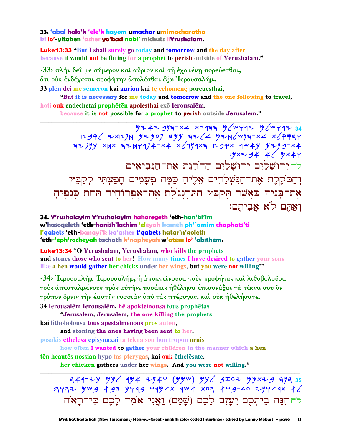#### 33. 'abal halo'k 'ele'k hayom umachar umimacharatho ki lo'-yitaken 'asher yo'bad nabi' michuts liYrushalam.

**Luke13:33 "But I shall surely go today and tomorrow and the day after** because it would not be fitting for a prophet to perish outside of Yerushalam."

 $\langle 33 \rangle$  πλήν δεί με σήμερον και αύριον και τη έχομένη πορεύεσθαι, ότι ούκ ένδέχεται προφήτην απολέσθαι έξω Ίερουσαλήμ.

33 plēn dei me sēmeron kai aurion kai tē echomenē poreuesthai,

"But it is necessary for me today and tomorrow and the one following to travel, hoti ouk endechetai prophētēn apolesthai exō Ierousalēm.

because it is not possible for a prophet to perish outside Jerusalem."

4247917-x4 x1977 4/447 4/447 34  $P-9P$  2xp7k  $y=7907$  ayy az (4  $y=12$   $y=72$   $x=72$  $.9 \times 7.94$   $4$  /  $.9 \times 4$ לד ירוּשַׁלַיִם יִרוּשַׁלַיִם הַהֹרֵגֵת אֶת־הַנִּבִיאִים וִהַםֹּקֵלֶת אֶת־הַנִּשְׁלָחִים אֶלֶיהָ כַּמֵּה פִעָּמִים חָפַצִתִּי לְקַבִּץ אָת־בַּנַיִךְ כַּאֲשֵׁר תִּקַבִּץ הַתַּרְנְגֹלֶת אֶת־אֶפְרוֹהֶיהָ תַּחַת כְּנָפֶיהָ ואתם לא אביתם:

34. Y'rushalayim Y'rushalayim hahoregeth 'eth-han'bi'im w'hasogeleth 'eth-hanish'lachim 'eleyah kameh ph'`amim chaphats'ti l'gabets 'eth-banayi'k ka'asher t'gabets hatar'n'goleth 'eth-'eph'rocheyah tachath k'napheyah w'atem lo' 'abithem.

**Luke13:34 "O Yerushalam, Yerushalam, who kills the prophets** and stones those who sent to her! How many times I have desired to gather your sons like a hen would gather her chicks under her wings, but you were not willing!"

<34> Ιερουσαλήμ Ιερουσαλήμ, ή αποκτείνουσα τούς προφήτας και λιθοβολούσα τούς άπεσταλμένους πρός αύτήν, ποσάκις ήθέλησα έπισυνάξαι τα τέκνα σου δν τρόπον όρνις την έαυτης νοσσιάν ύπό τας πτέρυγας, και ούκ ήθελήσατε.

34 Ierousalēm Ierousalēm, hē apokteinousa tous prophētas

"Jerusalem, Jerusalem, the one killing the prophets

kai lithobolousa tous apestalmenous pros autēn,

and stoning the ones having been sent to her,

posakis ethelesa episynaxai ta tekna sou hon tropon ornis

how often I wanted to gather your children in the manner which a hen

tēn heautēs nossian hypo tas ptervgas, kai ouk ēthelēsate.

her chicken gathers under her wings. And you were not willing."

 $74777$  yy ay the 7144 (yyw) yy a so yyx2g 71335 3437 9 493 9494 9494 4 404 x03 449-40 79444 4 לה הִגָּה בֵיתִכֶם יֵעֲזֶב לַכֶם (שַׁמֶם) וַאֲנִי אֹמֶר לַכֶם כִּי־רַאֹה